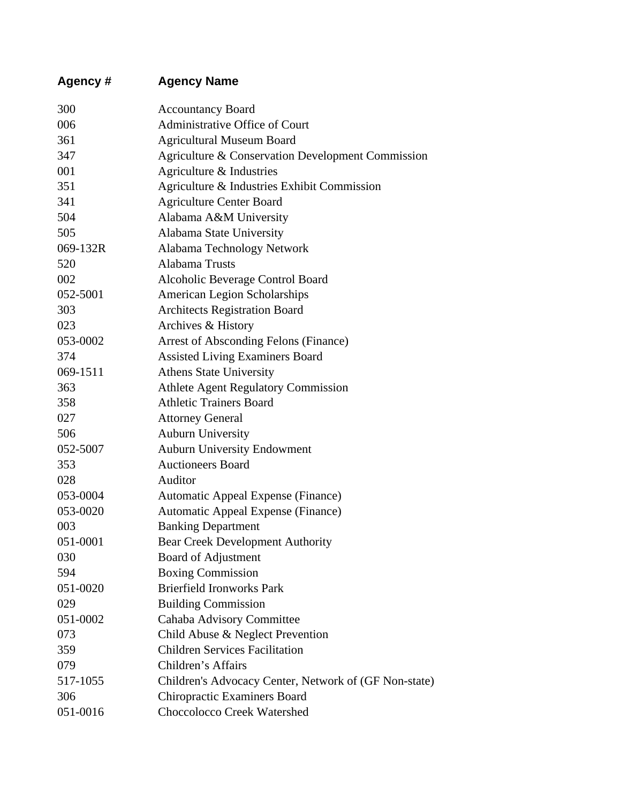| Agency # | <b>Agency Name</b>                                    |
|----------|-------------------------------------------------------|
| 300      | <b>Accountancy Board</b>                              |
| 006      | Administrative Office of Court                        |
| 361      | <b>Agricultural Museum Board</b>                      |
| 347      | Agriculture & Conservation Development Commission     |
| 001      | Agriculture & Industries                              |
| 351      | Agriculture & Industries Exhibit Commission           |
| 341      | <b>Agriculture Center Board</b>                       |
| 504      | Alabama A&M University                                |
| 505      | Alabama State University                              |
| 069-132R | Alabama Technology Network                            |
| 520      | Alabama Trusts                                        |
| 002      | Alcoholic Beverage Control Board                      |
| 052-5001 | American Legion Scholarships                          |
| 303      | <b>Architects Registration Board</b>                  |
| 023      | Archives & History                                    |
| 053-0002 | Arrest of Absconding Felons (Finance)                 |
| 374      | <b>Assisted Living Examiners Board</b>                |
| 069-1511 | <b>Athens State University</b>                        |
| 363      | <b>Athlete Agent Regulatory Commission</b>            |
| 358      | <b>Athletic Trainers Board</b>                        |
| 027      | <b>Attorney General</b>                               |
| 506      | <b>Auburn University</b>                              |
| 052-5007 | <b>Auburn University Endowment</b>                    |
| 353      | <b>Auctioneers Board</b>                              |
| 028      | Auditor                                               |
| 053-0004 | Automatic Appeal Expense (Finance)                    |
| 053-0020 | Automatic Appeal Expense (Finance)                    |
| 003      | <b>Banking Department</b>                             |
| 051-0001 | <b>Bear Creek Development Authority</b>               |
| 030      | Board of Adjustment                                   |
| 594      | <b>Boxing Commission</b>                              |
| 051-0020 | <b>Brierfield Ironworks Park</b>                      |
| 029      | <b>Building Commission</b>                            |
| 051-0002 | Cahaba Advisory Committee                             |
| 073      | Child Abuse & Neglect Prevention                      |
| 359      | <b>Children Services Facilitation</b>                 |
| 079      | Children's Affairs                                    |
| 517-1055 | Children's Advocacy Center, Network of (GF Non-state) |
| 306      | <b>Chiropractic Examiners Board</b>                   |
| 051-0016 | Choccolocco Creek Watershed                           |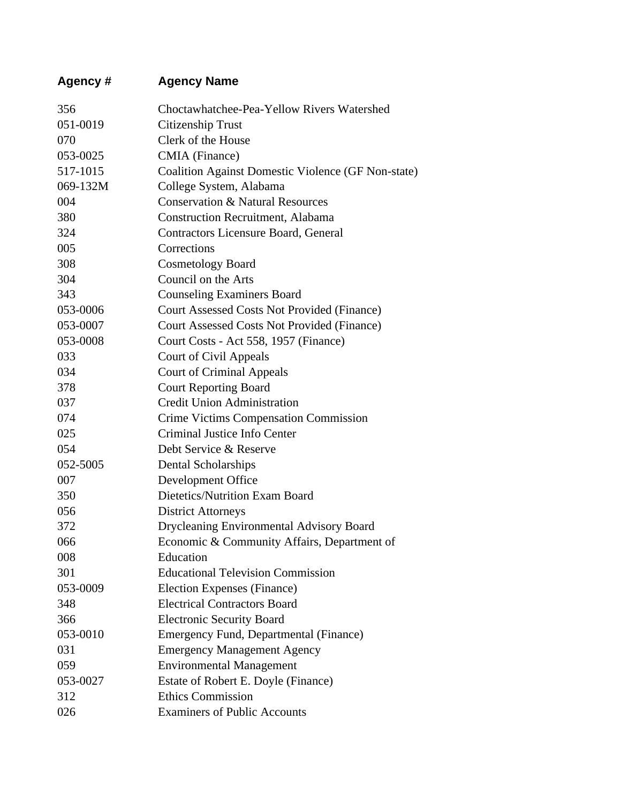| Agency # | <b>Agency Name</b>                                 |
|----------|----------------------------------------------------|
| 356      | Choctawhatchee-Pea-Yellow Rivers Watershed         |
| 051-0019 | Citizenship Trust                                  |
| 070      | Clerk of the House                                 |
| 053-0025 | CMIA (Finance)                                     |
| 517-1015 | Coalition Against Domestic Violence (GF Non-state) |
| 069-132M | College System, Alabama                            |
| 004      | <b>Conservation &amp; Natural Resources</b>        |
| 380      | <b>Construction Recruitment, Alabama</b>           |
| 324      | Contractors Licensure Board, General               |
| 005      | Corrections                                        |
| 308      | <b>Cosmetology Board</b>                           |
| 304      | Council on the Arts                                |
| 343      | <b>Counseling Examiners Board</b>                  |
| 053-0006 | <b>Court Assessed Costs Not Provided (Finance)</b> |
| 053-0007 | <b>Court Assessed Costs Not Provided (Finance)</b> |
| 053-0008 | Court Costs - Act 558, 1957 (Finance)              |
| 033      | <b>Court of Civil Appeals</b>                      |
| 034      | <b>Court of Criminal Appeals</b>                   |
| 378      | <b>Court Reporting Board</b>                       |
| 037      | <b>Credit Union Administration</b>                 |
| 074      | <b>Crime Victims Compensation Commission</b>       |
| 025      | Criminal Justice Info Center                       |
| 054      | Debt Service & Reserve                             |
| 052-5005 | Dental Scholarships                                |
| 007      | Development Office                                 |
| 350      | Dietetics/Nutrition Exam Board                     |
| 056      | <b>District Attorneys</b>                          |
| 372      | <b>Drycleaning Environmental Advisory Board</b>    |
| 066      | Economic & Community Affairs, Department of        |
| 008      | Education                                          |
| 301      | <b>Educational Television Commission</b>           |
| 053-0009 | Election Expenses (Finance)                        |
| 348      | <b>Electrical Contractors Board</b>                |
| 366      | <b>Electronic Security Board</b>                   |
| 053-0010 | Emergency Fund, Departmental (Finance)             |
| 031      | <b>Emergency Management Agency</b>                 |
| 059      | <b>Environmental Management</b>                    |
| 053-0027 | Estate of Robert E. Doyle (Finance)                |
| 312      | <b>Ethics Commission</b>                           |
| 026      | <b>Examiners of Public Accounts</b>                |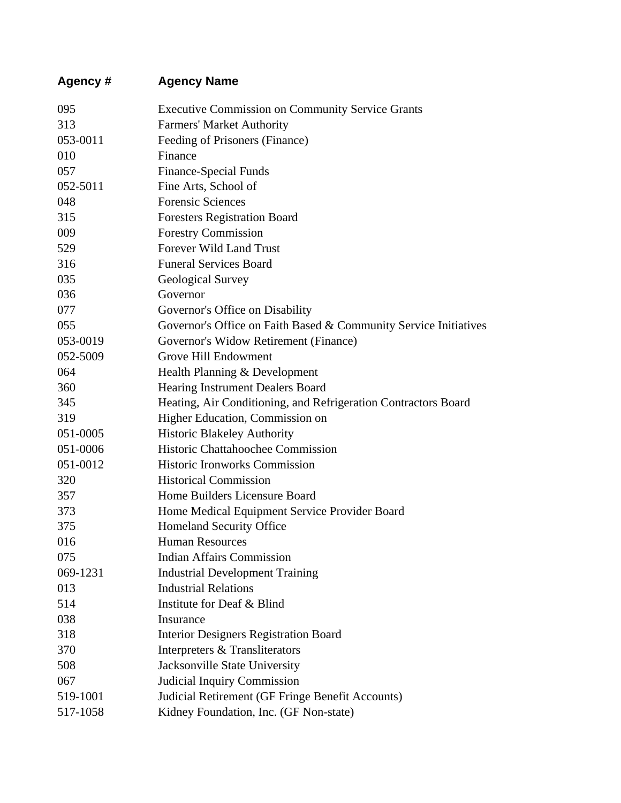| Agency # | <b>Agency Name</b>                                               |
|----------|------------------------------------------------------------------|
| 095      | <b>Executive Commission on Community Service Grants</b>          |
| 313      | <b>Farmers' Market Authority</b>                                 |
| 053-0011 | Feeding of Prisoners (Finance)                                   |
| 010      | Finance                                                          |
| 057      | Finance-Special Funds                                            |
| 052-5011 | Fine Arts, School of                                             |
| 048      | <b>Forensic Sciences</b>                                         |
| 315      | <b>Foresters Registration Board</b>                              |
| 009      | <b>Forestry Commission</b>                                       |
| 529      | Forever Wild Land Trust                                          |
| 316      | <b>Funeral Services Board</b>                                    |
| 035      | Geological Survey                                                |
| 036      | Governor                                                         |
| 077      | Governor's Office on Disability                                  |
| 055      | Governor's Office on Faith Based & Community Service Initiatives |
| 053-0019 | Governor's Widow Retirement (Finance)                            |
| 052-5009 | <b>Grove Hill Endowment</b>                                      |
| 064      | Health Planning & Development                                    |
| 360      | Hearing Instrument Dealers Board                                 |
| 345      | Heating, Air Conditioning, and Refrigeration Contractors Board   |
| 319      | Higher Education, Commission on                                  |
| 051-0005 | <b>Historic Blakeley Authority</b>                               |
| 051-0006 | Historic Chattahoochee Commission                                |
| 051-0012 | <b>Historic Ironworks Commission</b>                             |
| 320      | <b>Historical Commission</b>                                     |
| 357      | Home Builders Licensure Board                                    |
| 373      | Home Medical Equipment Service Provider Board                    |
| 375      | <b>Homeland Security Office</b>                                  |
| 016      | <b>Human Resources</b>                                           |
| 075      | <b>Indian Affairs Commission</b>                                 |
| 069-1231 | <b>Industrial Development Training</b>                           |
| 013      | <b>Industrial Relations</b>                                      |
| 514      | Institute for Deaf & Blind                                       |
| 038      | Insurance                                                        |
| 318      | <b>Interior Designers Registration Board</b>                     |
| 370      | Interpreters & Transliterators                                   |
| 508      | Jacksonville State University                                    |
| 067      | <b>Judicial Inquiry Commission</b>                               |
| 519-1001 | Judicial Retirement (GF Fringe Benefit Accounts)                 |
| 517-1058 | Kidney Foundation, Inc. (GF Non-state)                           |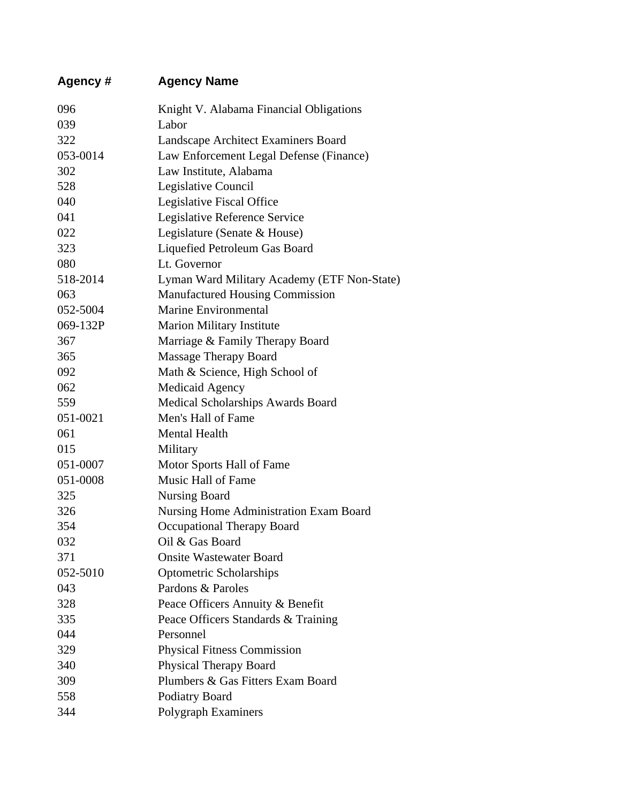| Agency # | <b>Agency Name</b>                          |
|----------|---------------------------------------------|
| 096      | Knight V. Alabama Financial Obligations     |
| 039      | Labor                                       |
| 322      | Landscape Architect Examiners Board         |
| 053-0014 | Law Enforcement Legal Defense (Finance)     |
| 302      | Law Institute, Alabama                      |
| 528      | Legislative Council                         |
| 040      | Legislative Fiscal Office                   |
| 041      | Legislative Reference Service               |
| 022      | Legislature (Senate & House)                |
| 323      | Liquefied Petroleum Gas Board               |
| 080      | Lt. Governor                                |
| 518-2014 | Lyman Ward Military Academy (ETF Non-State) |
| 063      | <b>Manufactured Housing Commission</b>      |
| 052-5004 | <b>Marine Environmental</b>                 |
| 069-132P | <b>Marion Military Institute</b>            |
| 367      | Marriage & Family Therapy Board             |
| 365      | <b>Massage Therapy Board</b>                |
| 092      | Math & Science, High School of              |
| 062      | <b>Medicaid Agency</b>                      |
| 559      | Medical Scholarships Awards Board           |
| 051-0021 | Men's Hall of Fame                          |
| 061      | <b>Mental Health</b>                        |
| 015      | Military                                    |
| 051-0007 | Motor Sports Hall of Fame                   |
| 051-0008 | Music Hall of Fame                          |
| 325      | <b>Nursing Board</b>                        |
| 326      | Nursing Home Administration Exam Board      |
| 354      | <b>Occupational Therapy Board</b>           |
| 032      | Oil & Gas Board                             |
| 371      | <b>Onsite Wastewater Board</b>              |
| 052-5010 | <b>Optometric Scholarships</b>              |
| 043      | Pardons & Paroles                           |
| 328      | Peace Officers Annuity & Benefit            |
| 335      | Peace Officers Standards & Training         |
| 044      | Personnel                                   |
| 329      | <b>Physical Fitness Commission</b>          |
| 340      | <b>Physical Therapy Board</b>               |
| 309      | Plumbers & Gas Fitters Exam Board           |
| 558      | Podiatry Board                              |
| 344      | Polygraph Examiners                         |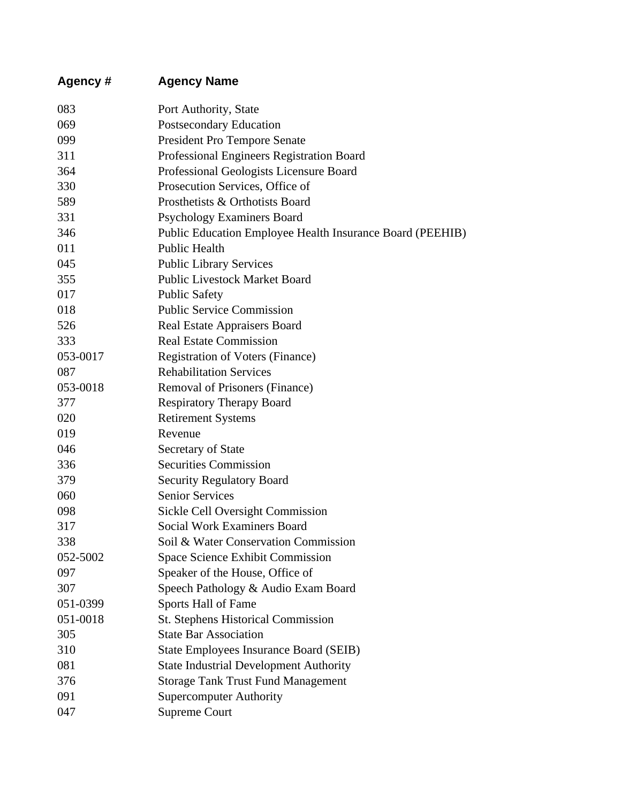| Agency # | <b>Agency Name</b>                                        |
|----------|-----------------------------------------------------------|
| 083      | Port Authority, State                                     |
| 069      | Postsecondary Education                                   |
| 099      | <b>President Pro Tempore Senate</b>                       |
| 311      | Professional Engineers Registration Board                 |
| 364      | Professional Geologists Licensure Board                   |
| 330      | Prosecution Services, Office of                           |
| 589      | Prosthetists & Orthotists Board                           |
| 331      | <b>Psychology Examiners Board</b>                         |
| 346      | Public Education Employee Health Insurance Board (PEEHIB) |
| 011      | <b>Public Health</b>                                      |
| 045      | <b>Public Library Services</b>                            |
| 355      | <b>Public Livestock Market Board</b>                      |
| 017      | <b>Public Safety</b>                                      |
| 018      | <b>Public Service Commission</b>                          |
| 526      | Real Estate Appraisers Board                              |
| 333      | <b>Real Estate Commission</b>                             |
| 053-0017 | <b>Registration of Voters (Finance)</b>                   |
| 087      | <b>Rehabilitation Services</b>                            |
| 053-0018 | Removal of Prisoners (Finance)                            |
| 377      | <b>Respiratory Therapy Board</b>                          |
| 020      | <b>Retirement Systems</b>                                 |
| 019      | Revenue                                                   |
| 046      | Secretary of State                                        |
| 336      | <b>Securities Commission</b>                              |
| 379      | <b>Security Regulatory Board</b>                          |
| 060      | <b>Senior Services</b>                                    |
| 098      | <b>Sickle Cell Oversight Commission</b>                   |
| 317      | <b>Social Work Examiners Board</b>                        |
| 338      | Soil & Water Conservation Commission                      |
| 052-5002 | <b>Space Science Exhibit Commission</b>                   |
| 097      | Speaker of the House, Office of                           |
| 307      | Speech Pathology & Audio Exam Board                       |
| 051-0399 | Sports Hall of Fame                                       |
| 051-0018 | <b>St. Stephens Historical Commission</b>                 |
| 305      | <b>State Bar Association</b>                              |
| 310      | <b>State Employees Insurance Board (SEIB)</b>             |
| 081      | <b>State Industrial Development Authority</b>             |
| 376      | <b>Storage Tank Trust Fund Management</b>                 |
| 091      | <b>Supercomputer Authority</b>                            |
| 047      | <b>Supreme Court</b>                                      |